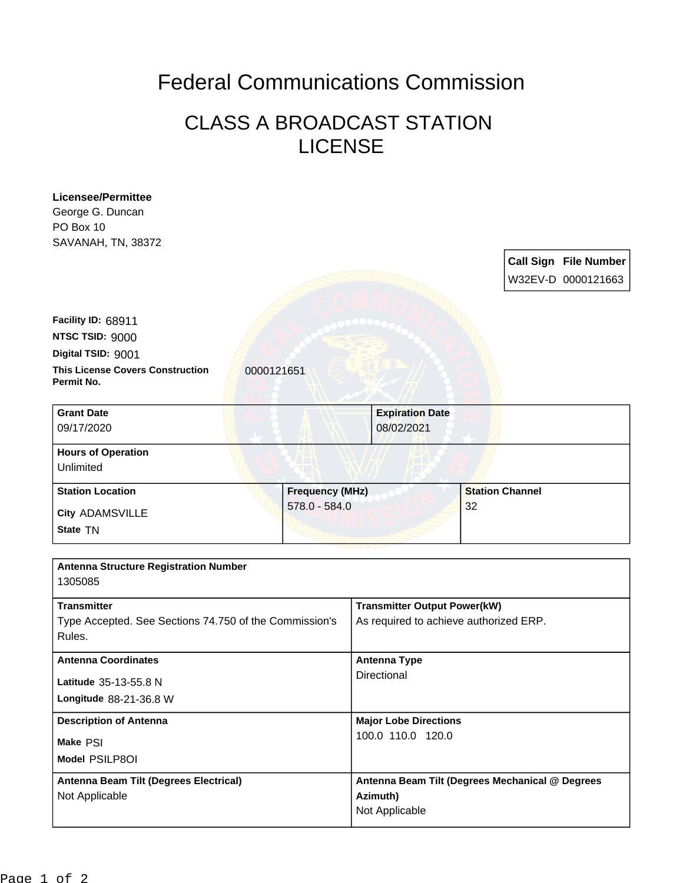## Federal Communications Commission

## CLASS A BROADCAST STATION LICENSE

| <b>Licensee/Permittee</b>                                           |                        |                                                   |                        |  |                              |
|---------------------------------------------------------------------|------------------------|---------------------------------------------------|------------------------|--|------------------------------|
| George G. Duncan                                                    |                        |                                                   |                        |  |                              |
| PO Box 10                                                           |                        |                                                   |                        |  |                              |
| SAVANAH, TN, 38372                                                  |                        |                                                   |                        |  |                              |
|                                                                     |                        |                                                   |                        |  | <b>Call Sign File Number</b> |
|                                                                     |                        |                                                   |                        |  | W32EV-D 0000121663           |
|                                                                     |                        |                                                   |                        |  |                              |
| Facility ID: 68911                                                  |                        |                                                   |                        |  |                              |
| NTSC TSID: 9000                                                     |                        |                                                   |                        |  |                              |
| Digital TSID: 9001                                                  |                        |                                                   |                        |  |                              |
| <b>This License Covers Construction</b><br>0000121651<br>Permit No. |                        |                                                   |                        |  |                              |
| <b>Grant Date</b>                                                   |                        | <b>Expiration Date</b>                            |                        |  |                              |
| 09/17/2020                                                          |                        | 08/02/2021                                        |                        |  |                              |
| <b>Hours of Operation</b>                                           |                        |                                                   |                        |  |                              |
| Unlimited                                                           |                        |                                                   |                        |  |                              |
| <b>Station Location</b>                                             | <b>Frequency (MHz)</b> |                                                   | <b>Station Channel</b> |  |                              |
| <b>City ADAMSVILLE</b>                                              | 578.0 - 584.0          |                                                   | 32                     |  |                              |
| State TN                                                            |                        |                                                   |                        |  |                              |
|                                                                     |                        |                                                   |                        |  |                              |
| <b>Antenna Structure Registration Number</b><br>1305085             |                        |                                                   |                        |  |                              |
| <b>Transmitter</b>                                                  |                        | <b>Transmitter Output Power(kW)</b>               |                        |  |                              |
| Type Accepted. See Sections 74.750 of the Commission's              |                        | As required to achieve authorized ERP.            |                        |  |                              |
| Rules.                                                              |                        |                                                   |                        |  |                              |
| <b>Antenna Coordinates</b>                                          |                        | <b>Antenna Type</b>                               |                        |  |                              |
| Latitude 35-13-55.8 N                                               |                        | Directional                                       |                        |  |                              |
| Longitude 88-21-36.8 W                                              |                        |                                                   |                        |  |                              |
|                                                                     |                        |                                                   |                        |  |                              |
| <b>Description of Antenna</b>                                       |                        | <b>Major Lobe Directions</b><br>100.0 110.0 120.0 |                        |  |                              |
| Make PSI                                                            |                        |                                                   |                        |  |                              |
| Model PSILP8OI                                                      |                        |                                                   |                        |  |                              |
| Antenna Beam Tilt (Degrees Electrical)                              |                        | Antenna Beam Tilt (Degrees Mechanical @ Degrees   |                        |  |                              |
| Not Applicable                                                      |                        | Azimuth)<br>Not Applicable                        |                        |  |                              |
|                                                                     |                        |                                                   |                        |  |                              |